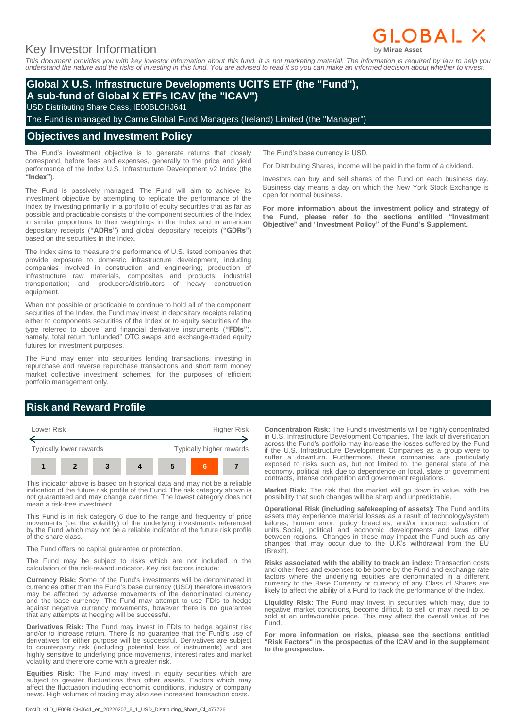# Key Investor Information

*This document provides you with key investor information about this fund. It is not marketing material. The information is required by law to help you understand the nature and the risks of investing in this fund. You are advised to read it so you can make an informed decision about whether to invest.*

## **Global X U.S. Infrastructure Developments UCITS ETF (the "Fund"), A sub-fund of Global X ETFs ICAV (the "ICAV")**

USD Distributing Share Class, IE00BLCHJ641

The Fund is managed by Carne Global Fund Managers (Ireland) Limited (the "Manager")

### **Objectives and Investment Policy**

The Fund's investment objective is to generate returns that closely correspond, before fees and expenses, generally to the price and yield performance of the Indxx U.S. Infrastructure Development v2 Index (the **"Index"**).

The Fund is passively managed. The Fund will aim to achieve its investment objective by attempting to replicate the performance of the Index by investing primarily in a portfolio of equity securities that as far as possible and practicable consists of the component securities of the Index in similar proportions to their weightings in the Index and in american depositary receipts (**"ADRs"**) and global depositary receipts (**"GDRs"**) based on the securities in the Index.

The Index aims to measure the performance of U.S. listed companies that provide exposure to domestic infrastructure development, including companies involved in construction and engineering; production of infrastructure raw materials, composites and products; industrial transportation; and producers/distributors of heavy construction equipment.

When not possible or practicable to continue to hold all of the component securities of the Index, the Fund may invest in depositary receipts relating either to components securities of the Index or to equity securities of the type referred to above; and financial derivative instruments (**"FDIs"**), namely, total return "unfunded" OTC swaps and exchange-traded equity futures for investment purposes.

The Fund may enter into securities lending transactions, investing in repurchase and reverse repurchase transactions and short term money market collective investment schemes, for the purposes of efficient portfolio management only.

## **Risk and Reward Profile**



This indicator above is based on historical data and may not be a reliable indication of the future risk profile of the Fund. The risk category shown is not guaranteed and may change over time. The lowest category does not mean a risk-free investment.

This Fund is in risk category 6 due to the range and frequency of price movements (i.e. the volatility) of the underlying investments referenced by the Fund which may not be a reliable indicator of the future risk profile of the share class.

The Fund offers no capital guarantee or protection.

The Fund may be subject to risks which are not included in the calculation of the risk-reward indicator. Key risk factors include:

**Currency Risk:** Some of the Fund's investments will be denominated in currencies other than the Fund's base currency (USD) therefore investors may be affected by adverse movements of the denominated currency and the base currency. The Fund may attempt to use FDIs to hedge against negative currency movements, however there is no guarantee that any attempts at hedging will be successful.

**Derivatives Risk:** The Fund may invest in FDIs to hedge against risk and/or to increase return. There is no guarantee that the Fund's use of derivatives for either purpose will be successful. Derivatives are subject to counterparty risk (including potential loss of instruments) and are highly sensitive to underlying price movements, interest rates and market volatility and therefore come with a greater risk.

**Equities Risk:** The Fund may invest in equity securities which are subject to greater fluctuations than other assets. Factors which may affect the fluctuation including economic conditions, industry or company news. High volumes of trading may also see increased transaction costs.

:DocID: KIID\_IE00BLCHJ641\_en\_20220207\_6\_1\_USD\_Distributing\_Share\_Cl\_477726

The Fund's base currency is USD.

For Distributing Shares, income will be paid in the form of a dividend.

Investors can buy and sell shares of the Fund on each business day. Business day means a day on which the New York Stock Exchange is open for normal business.

**For more information about the investment policy and strategy of the Fund, please refer to the sections entitled "Investment Objective" and "Investment Policy" of the Fund's Supplement.**

**Concentration Risk:** The Fund's investments will be highly concentrated in U.S. Infrastructure Development Companies. The lack of diversification across the Fund's portfolio may increase the losses suffered by the Fund if the U.S. Infrastructure Development Companies as a group were to suffer a downturn. Furthermore, these companies are particularly exposed to risks such as, but not limited to, the general state of the economy, political risk due to dependence on local, state or government contracts, intense competition and government regulations.

**Market Risk:** The risk that the market will go down in value, with the possibility that such changes will be sharp and unpredictable.

**Operational Risk (including safekeeping of assets):** The Fund and its assets may experience material losses as a result of technology/system failures, human error, policy breaches, and/or incorrect valuation of units. Social, political and economic developments and laws differ between regions. Changes in these may impact the Fund such as any changes that may occur due to the U.K's withdrawal from the EU (Brexit).

**Risks associated with the ability to track an index:** Transaction costs and other fees and expenses to be borne by the Fund and exchange rate factors where the underlying equities are denominated in a different currency to the Base Currency or currency of any Class of Shares are likely to affect the ability of a Fund to track the performance of the Index.

**Liquidity Risk:** The Fund may invest in securities which may, due to negative market conditions, become difficult to sell or may need to be sold at an unfavourable price. This may affect the overall value of the Fund.

**For more information on risks, please see the sections entitled "Risk Factors" in the prospectus of the ICAV and in the supplement to the prospectus.**

# **GLOBAL X**